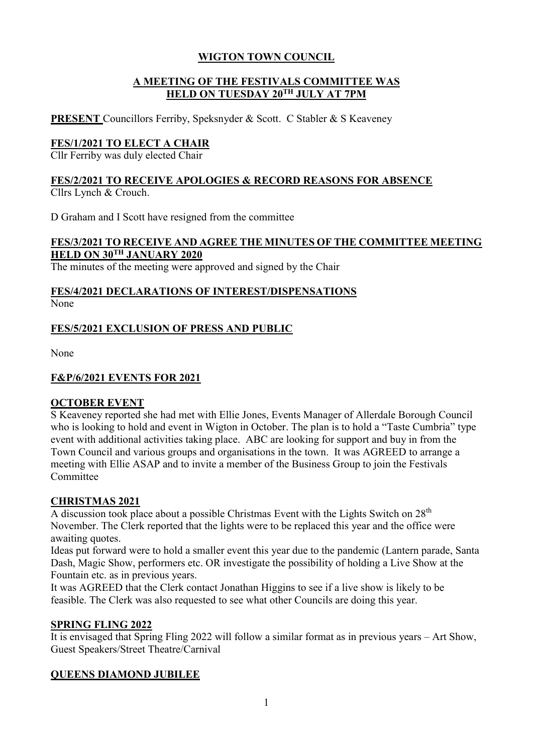#### **A MEETING OF THE FESTIVALS COMMITTEE WAS HELD ON TUESDAY 20TH JULY AT 7PM**

**PRESENT** Councillors Ferriby, Speksnyder & Scott. C Stabler & S Keaveney

# **FES/1/2021 TO ELECT A CHAIR**

Cllr Ferriby was duly elected Chair

#### **FES/2/2021 TO RECEIVE APOLOGIES & RECORD REASONS FOR ABSENCE** Cllrs Lynch & Crouch.

D Graham and I Scott have resigned from the committee

#### **FES/3/2021 TO RECEIVE AND AGREE THE MINUTES OF THE COMMITTEE MEETING HELD ON 30TH JANUARY 2020**

The minutes of the meeting were approved and signed by the Chair

## **FES/4/2021 DECLARATIONS OF INTEREST/DISPENSATIONS** None

# **FES/5/2021 EXCLUSION OF PRESS AND PUBLIC**

None

# **F&P/6/2021 EVENTS FOR 2021**

#### **OCTOBER EVENT**

S Keaveney reported she had met with Ellie Jones, Events Manager of Allerdale Borough Council who is looking to hold and event in Wigton in October. The plan is to hold a "Taste Cumbria" type event with additional activities taking place. ABC are looking for support and buy in from the Town Council and various groups and organisations in the town. It was AGREED to arrange a meeting with Ellie ASAP and to invite a member of the Business Group to join the Festivals Committee

#### **CHRISTMAS 2021**

A discussion took place about a possible Christmas Event with the Lights Switch on 28<sup>th</sup> November. The Clerk reported that the lights were to be replaced this year and the office were awaiting quotes.

Ideas put forward were to hold a smaller event this year due to the pandemic (Lantern parade, Santa Dash, Magic Show, performers etc. OR investigate the possibility of holding a Live Show at the Fountain etc. as in previous years.

It was AGREED that the Clerk contact Jonathan Higgins to see if a live show is likely to be feasible. The Clerk was also requested to see what other Councils are doing this year.

#### **SPRING FLING 2022**

It is envisaged that Spring Fling 2022 will follow a similar format as in previous years – Art Show, Guest Speakers/Street Theatre/Carnival

#### **QUEENS DIAMOND JUBILEE**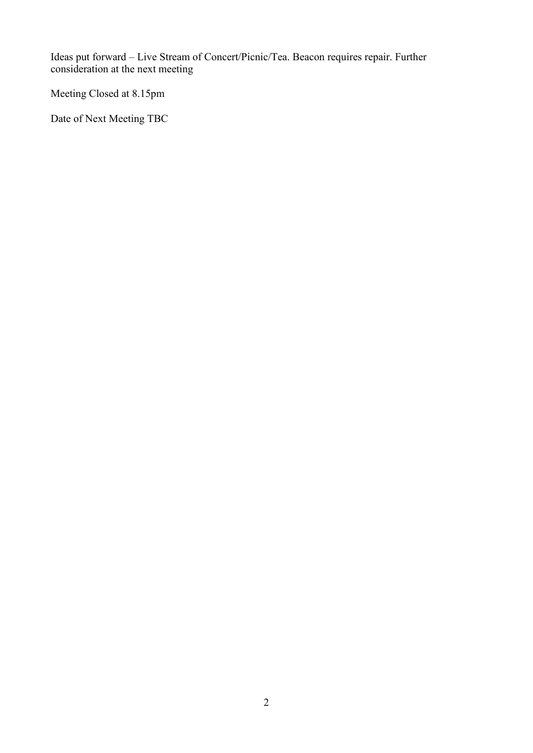Ideas put forward – Live Stream of Concert/Picnic/Tea. Beacon requires repair. Further consideration at the next meeting

Meeting Closed at 8.15pm

Date of Next Meeting TBC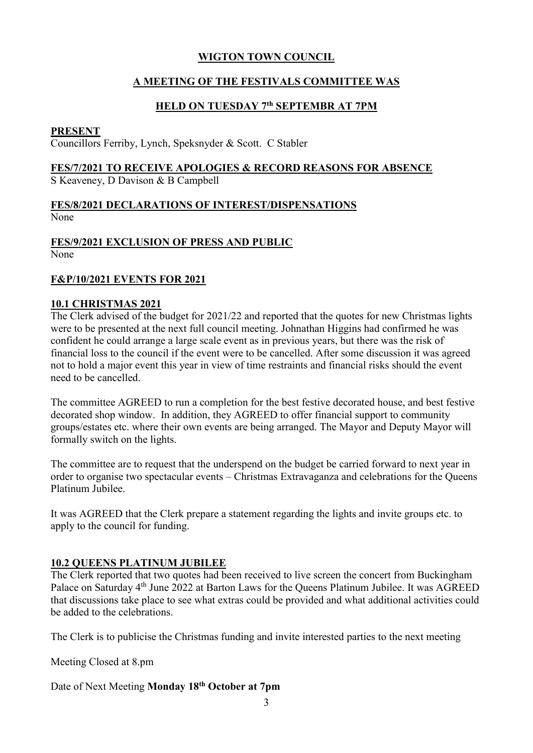# **A MEETING OF THE FESTIVALS COMMITTEE WAS**

#### **HELD ON TUESDAY 7th SEPTEMBR AT 7PM**

#### **PRESENT**

Councillors Ferriby, Lynch, Speksnyder & Scott. C Stabler

# **FES/7/2021 TO RECEIVE APOLOGIES & RECORD REASONS FOR ABSENCE**

S Keaveney, D Davison & B Campbell

#### **FES/8/2021 DECLARATIONS OF INTEREST/DISPENSATIONS** None

# **FES/9/2021 EXCLUSION OF PRESS AND PUBLIC**

None

#### **F&P/10/2021 EVENTS FOR 2021**

#### **10.1 CHRISTMAS 2021**

The Clerk advised of the budget for 2021/22 and reported that the quotes for new Christmas lights were to be presented at the next full council meeting. Johnathan Higgins had confirmed he was confident he could arrange a large scale event as in previous years, but there was the risk of financial loss to the council if the event were to be cancelled. After some discussion it was agreed not to hold a major event this year in view of time restraints and financial risks should the event need to be cancelled.

The committee AGREED to run a completion for the best festive decorated house, and best festive decorated shop window. In addition, they AGREED to offer financial support to community groups/estates etc. where their own events are being arranged. The Mayor and Deputy Mayor will formally switch on the lights.

The committee are to request that the underspend on the budget be carried forward to next year in order to organise two spectacular events – Christmas Extravaganza and celebrations for the Queens Platinum Jubilee.

It was AGREED that the Clerk prepare a statement regarding the lights and invite groups etc. to apply to the council for funding.

#### **10.2 QUEENS PLATINUM JUBILEE**

The Clerk reported that two quotes had been received to live screen the concert from Buckingham Palace on Saturday 4<sup>th</sup> June 2022 at Barton Laws for the Queens Platinum Jubilee. It was AGREED that discussions take place to see what extras could be provided and what additional activities could be added to the celebrations.

The Clerk is to publicise the Christmas funding and invite interested parties to the next meeting

Meeting Closed at 8.pm

Date of Next Meeting **Monday 18th October at 7pm**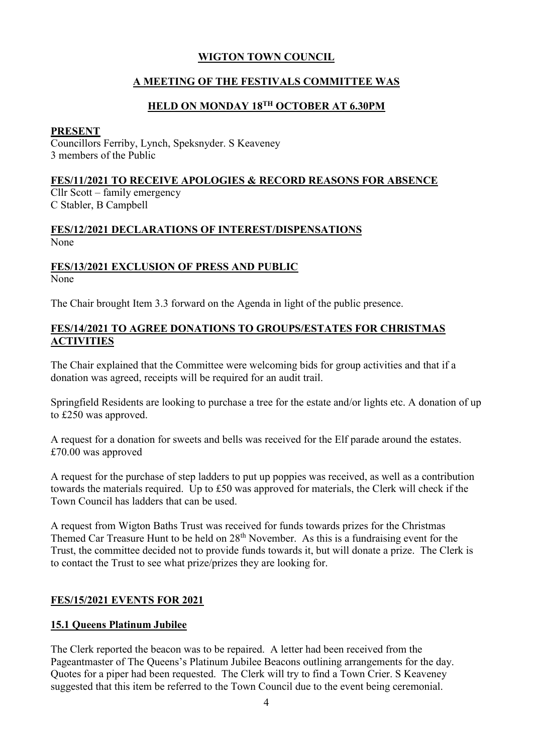# **A MEETING OF THE FESTIVALS COMMITTEE WAS**

#### **HELD ON MONDAY 18TH OCTOBER AT 6.30PM**

#### **PRESENT**

Councillors Ferriby, Lynch, Speksnyder. S Keaveney 3 members of the Public

#### **FES/11/2021 TO RECEIVE APOLOGIES & RECORD REASONS FOR ABSENCE**

Cllr Scott – family emergency C Stabler, B Campbell

#### **FES/12/2021 DECLARATIONS OF INTEREST/DISPENSATIONS** None

# **FES/13/2021 EXCLUSION OF PRESS AND PUBLIC**

None

The Chair brought Item 3.3 forward on the Agenda in light of the public presence.

## **FES/14/2021 TO AGREE DONATIONS TO GROUPS/ESTATES FOR CHRISTMAS ACTIVITIES**

The Chair explained that the Committee were welcoming bids for group activities and that if a donation was agreed, receipts will be required for an audit trail.

Springfield Residents are looking to purchase a tree for the estate and/or lights etc. A donation of up to £250 was approved.

A request for a donation for sweets and bells was received for the Elf parade around the estates. £70.00 was approved

A request for the purchase of step ladders to put up poppies was received, as well as a contribution towards the materials required. Up to £50 was approved for materials, the Clerk will check if the Town Council has ladders that can be used.

A request from Wigton Baths Trust was received for funds towards prizes for the Christmas Themed Car Treasure Hunt to be held on 28<sup>th</sup> November. As this is a fundraising event for the Trust, the committee decided not to provide funds towards it, but will donate a prize. The Clerk is to contact the Trust to see what prize/prizes they are looking for.

# **FES/15/2021 EVENTS FOR 2021**

# **15.1 Queens Platinum Jubilee**

The Clerk reported the beacon was to be repaired. A letter had been received from the Pageantmaster of The Queens's Platinum Jubilee Beacons outlining arrangements for the day. Quotes for a piper had been requested. The Clerk will try to find a Town Crier. S Keaveney suggested that this item be referred to the Town Council due to the event being ceremonial.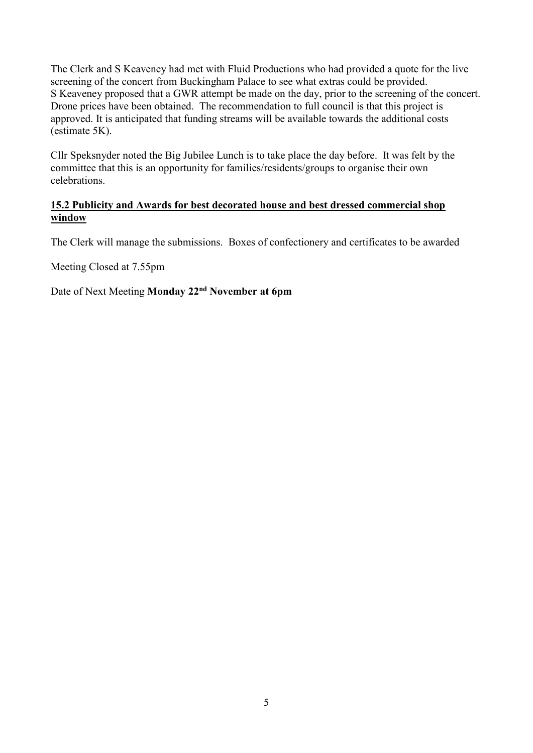The Clerk and S Keaveney had met with Fluid Productions who had provided a quote for the live screening of the concert from Buckingham Palace to see what extras could be provided. S Keaveney proposed that a GWR attempt be made on the day, prior to the screening of the concert. Drone prices have been obtained. The recommendation to full council is that this project is approved. It is anticipated that funding streams will be available towards the additional costs (estimate 5K).

Cllr Speksnyder noted the Big Jubilee Lunch is to take place the day before. It was felt by the committee that this is an opportunity for families/residents/groups to organise their own celebrations.

## **15.2 Publicity and Awards for best decorated house and best dressed commercial shop window**

The Clerk will manage the submissions. Boxes of confectionery and certificates to be awarded

Meeting Closed at 7.55pm

Date of Next Meeting **Monday 22nd November at 6pm**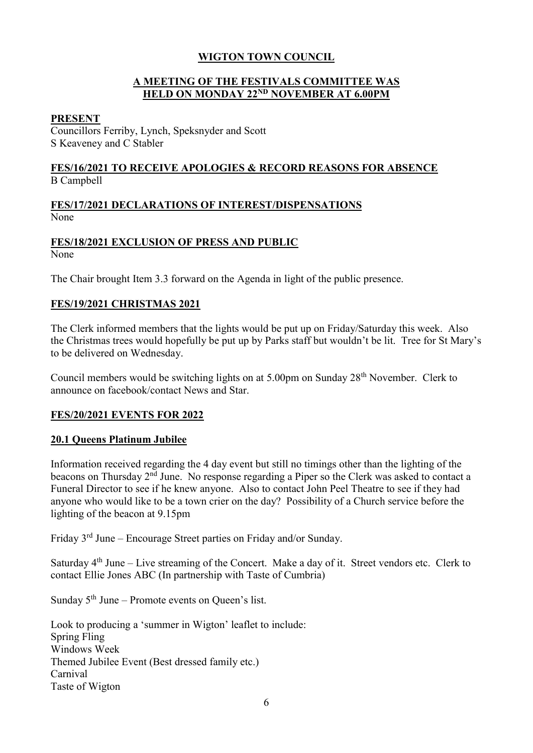## **A MEETING OF THE FESTIVALS COMMITTEE WAS HELD ON MONDAY 22ND NOVEMBER AT 6.00PM**

#### **PRESENT**

Councillors Ferriby, Lynch, Speksnyder and Scott S Keaveney and C Stabler

#### **FES/16/2021 TO RECEIVE APOLOGIES & RECORD REASONS FOR ABSENCE** B Campbell

#### **FES/17/2021 DECLARATIONS OF INTEREST/DISPENSATIONS** None

#### **FES/18/2021 EXCLUSION OF PRESS AND PUBLIC**

None

The Chair brought Item 3.3 forward on the Agenda in light of the public presence.

#### **FES/19/2021 CHRISTMAS 2021**

The Clerk informed members that the lights would be put up on Friday/Saturday this week. Also the Christmas trees would hopefully be put up by Parks staff but wouldn't be lit. Tree for St Mary's to be delivered on Wednesday.

Council members would be switching lights on at 5.00pm on Sunday 28th November. Clerk to announce on facebook/contact News and Star.

#### **FES/20/2021 EVENTS FOR 2022**

#### **20.1 Queens Platinum Jubilee**

Information received regarding the 4 day event but still no timings other than the lighting of the beacons on Thursday 2nd June. No response regarding a Piper so the Clerk was asked to contact a Funeral Director to see if he knew anyone. Also to contact John Peel Theatre to see if they had anyone who would like to be a town crier on the day? Possibility of a Church service before the lighting of the beacon at 9.15pm

Friday 3rd June – Encourage Street parties on Friday and/or Sunday.

Saturday  $4<sup>th</sup>$  June – Live streaming of the Concert. Make a day of it. Street vendors etc. Clerk to contact Ellie Jones ABC (In partnership with Taste of Cumbria)

Sunday  $5<sup>th</sup>$  June – Promote events on Queen's list.

Look to producing a 'summer in Wigton' leaflet to include: Spring Fling Windows Week Themed Jubilee Event (Best dressed family etc.) Carnival Taste of Wigton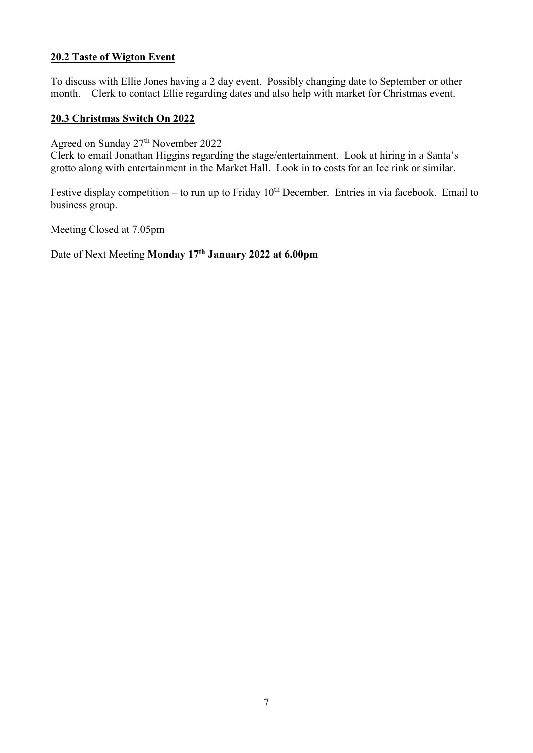## **20.2 Taste of Wigton Event**

To discuss with Ellie Jones having a 2 day event. Possibly changing date to September or other month. Clerk to contact Ellie regarding dates and also help with market for Christmas event.

#### **20.3 Christmas Switch On 2022**

Agreed on Sunday 27th November 2022

Clerk to email Jonathan Higgins regarding the stage/entertainment. Look at hiring in a Santa's grotto along with entertainment in the Market Hall. Look in to costs for an Ice rink or similar.

Festive display competition – to run up to Friday  $10<sup>th</sup>$  December. Entries in via facebook. Email to business group.

Meeting Closed at 7.05pm

Date of Next Meeting **Monday 17th January 2022 at 6.00pm**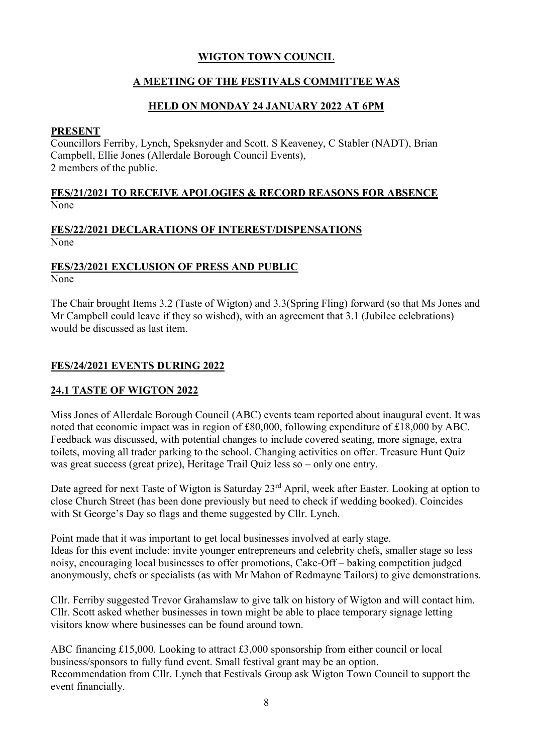# **A MEETING OF THE FESTIVALS COMMITTEE WAS**

## **HELD ON MONDAY 24 JANUARY 2022 AT 6PM**

#### **PRESENT**

Councillors Ferriby, Lynch, Speksnyder and Scott. S Keaveney, C Stabler (NADT), Brian Campbell, Ellie Jones (Allerdale Borough Council Events), 2 members of the public.

#### **FES/21/2021 TO RECEIVE APOLOGIES & RECORD REASONS FOR ABSENCE** None

#### **FES/22/2021 DECLARATIONS OF INTEREST/DISPENSATIONS** None

# **FES/23/2021 EXCLUSION OF PRESS AND PUBLIC**

None

The Chair brought Items 3.2 (Taste of Wigton) and 3.3(Spring Fling) forward (so that Ms Jones and Mr Campbell could leave if they so wished), with an agreement that 3.1 (Jubilee celebrations) would be discussed as last item.

# **FES/24/2021 EVENTS DURING 2022**

# **24.1 TASTE OF WIGTON 2022**

Miss Jones of Allerdale Borough Council (ABC) events team reported about inaugural event. It was noted that economic impact was in region of £80,000, following expenditure of £18,000 by ABC. Feedback was discussed, with potential changes to include covered seating, more signage, extra toilets, moving all trader parking to the school. Changing activities on offer. Treasure Hunt Quiz was great success (great prize), Heritage Trail Quiz less so – only one entry.

Date agreed for next Taste of Wigton is Saturday 23<sup>rd</sup> April, week after Easter. Looking at option to close Church Street (has been done previously but need to check if wedding booked). Coincides with St George's Day so flags and theme suggested by Cllr. Lynch.

Point made that it was important to get local businesses involved at early stage. Ideas for this event include: invite younger entrepreneurs and celebrity chefs, smaller stage so less noisy, encouraging local businesses to offer promotions, Cake-Off – baking competition judged anonymously, chefs or specialists (as with Mr Mahon of Redmayne Tailors) to give demonstrations.

Cllr. Ferriby suggested Trevor Grahamslaw to give talk on history of Wigton and will contact him. Cllr. Scott asked whether businesses in town might be able to place temporary signage letting visitors know where businesses can be found around town.

ABC financing £15,000. Looking to attract £3,000 sponsorship from either council or local business/sponsors to fully fund event. Small festival grant may be an option. Recommendation from Cllr. Lynch that Festivals Group ask Wigton Town Council to support the event financially.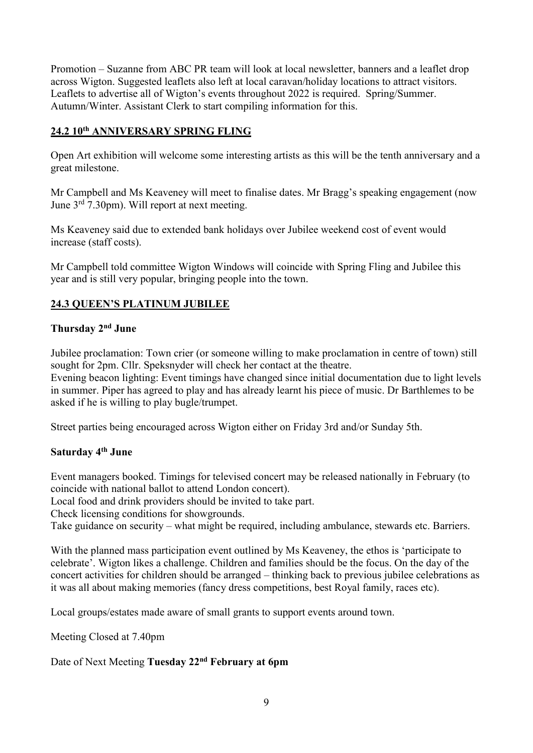Promotion – Suzanne from ABC PR team will look at local newsletter, banners and a leaflet drop across Wigton. Suggested leaflets also left at local caravan/holiday locations to attract visitors. Leaflets to advertise all of Wigton's events throughout 2022 is required. Spring/Summer. Autumn/Winter. Assistant Clerk to start compiling information for this.

#### **24.2 10th ANNIVERSARY SPRING FLING**

Open Art exhibition will welcome some interesting artists as this will be the tenth anniversary and a great milestone.

Mr Campbell and Ms Keaveney will meet to finalise dates. Mr Bragg's speaking engagement (now June 3rd 7.30pm). Will report at next meeting.

Ms Keaveney said due to extended bank holidays over Jubilee weekend cost of event would increase (staff costs).

Mr Campbell told committee Wigton Windows will coincide with Spring Fling and Jubilee this year and is still very popular, bringing people into the town.

#### **24.3 QUEEN'S PLATINUM JUBILEE**

#### **Thursday 2nd June**

Jubilee proclamation: Town crier (or someone willing to make proclamation in centre of town) still sought for 2pm. Cllr. Speksnyder will check her contact at the theatre.

Evening beacon lighting: Event timings have changed since initial documentation due to light levels in summer. Piper has agreed to play and has already learnt his piece of music. Dr Barthlemes to be asked if he is willing to play bugle/trumpet.

Street parties being encouraged across Wigton either on Friday 3rd and/or Sunday 5th.

#### **Saturday 4th June**

Event managers booked. Timings for televised concert may be released nationally in February (to coincide with national ballot to attend London concert).

Local food and drink providers should be invited to take part.

Check licensing conditions for showgrounds.

Take guidance on security – what might be required, including ambulance, stewards etc. Barriers.

With the planned mass participation event outlined by Ms Keaveney, the ethos is 'participate to celebrate'. Wigton likes a challenge. Children and families should be the focus. On the day of the concert activities for children should be arranged – thinking back to previous jubilee celebrations as it was all about making memories (fancy dress competitions, best Royal family, races etc).

Local groups/estates made aware of small grants to support events around town.

Meeting Closed at 7.40pm

Date of Next Meeting **Tuesday 22nd February at 6pm**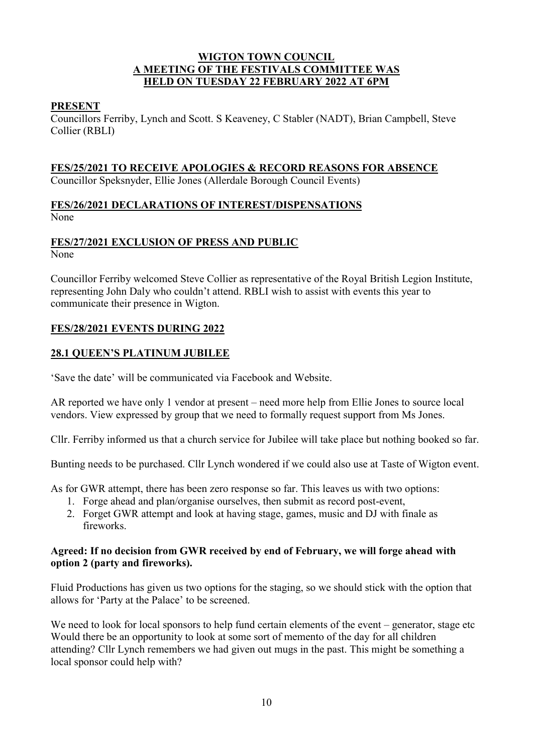#### **WIGTON TOWN COUNCIL A MEETING OF THE FESTIVALS COMMITTEE WAS HELD ON TUESDAY 22 FEBRUARY 2022 AT 6PM**

## **PRESENT**

Councillors Ferriby, Lynch and Scott. S Keaveney, C Stabler (NADT), Brian Campbell, Steve Collier (RBLI)

# **FES/25/2021 TO RECEIVE APOLOGIES & RECORD REASONS FOR ABSENCE**

Councillor Speksnyder, Ellie Jones (Allerdale Borough Council Events)

## **FES/26/2021 DECLARATIONS OF INTEREST/DISPENSATIONS** None

## **FES/27/2021 EXCLUSION OF PRESS AND PUBLIC**

None

Councillor Ferriby welcomed Steve Collier as representative of the Royal British Legion Institute, representing John Daly who couldn't attend. RBLI wish to assist with events this year to communicate their presence in Wigton.

# **FES/28/2021 EVENTS DURING 2022**

# **28.1 QUEEN'S PLATINUM JUBILEE**

'Save the date' will be communicated via Facebook and Website.

AR reported we have only 1 vendor at present – need more help from Ellie Jones to source local vendors. View expressed by group that we need to formally request support from Ms Jones.

Cllr. Ferriby informed us that a church service for Jubilee will take place but nothing booked so far.

Bunting needs to be purchased. Cllr Lynch wondered if we could also use at Taste of Wigton event.

As for GWR attempt, there has been zero response so far. This leaves us with two options:

- 1. Forge ahead and plan/organise ourselves, then submit as record post-event,
- 2. Forget GWR attempt and look at having stage, games, music and DJ with finale as fireworks.

#### **Agreed: If no decision from GWR received by end of February, we will forge ahead with option 2 (party and fireworks).**

Fluid Productions has given us two options for the staging, so we should stick with the option that allows for 'Party at the Palace' to be screened.

We need to look for local sponsors to help fund certain elements of the event – generator, stage etc Would there be an opportunity to look at some sort of memento of the day for all children attending? Cllr Lynch remembers we had given out mugs in the past. This might be something a local sponsor could help with?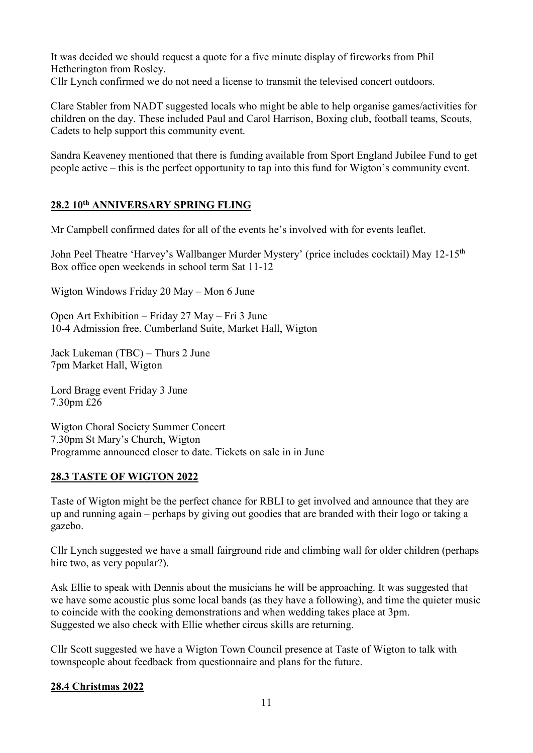It was decided we should request a quote for a five minute display of fireworks from Phil Hetherington from Rosley.

Cllr Lynch confirmed we do not need a license to transmit the televised concert outdoors.

Clare Stabler from NADT suggested locals who might be able to help organise games/activities for children on the day. These included Paul and Carol Harrison, Boxing club, football teams, Scouts, Cadets to help support this community event.

Sandra Keaveney mentioned that there is funding available from Sport England Jubilee Fund to get people active – this is the perfect opportunity to tap into this fund for Wigton's community event.

# **28.2 10th ANNIVERSARY SPRING FLING**

Mr Campbell confirmed dates for all of the events he's involved with for events leaflet.

John Peel Theatre 'Harvey's Wallbanger Murder Mystery' (price includes cocktail) May 12-15<sup>th</sup> Box office open weekends in school term Sat 11-12

Wigton Windows Friday 20 May – Mon 6 June

Open Art Exhibition – Friday 27 May – Fri 3 June 10-4 Admission free. Cumberland Suite, Market Hall, Wigton

Jack Lukeman (TBC) – Thurs 2 June 7pm Market Hall, Wigton

Lord Bragg event Friday 3 June 7.30pm £26

Wigton Choral Society Summer Concert 7.30pm St Mary's Church, Wigton Programme announced closer to date. Tickets on sale in in June

# **28.3 TASTE OF WIGTON 2022**

Taste of Wigton might be the perfect chance for RBLI to get involved and announce that they are up and running again – perhaps by giving out goodies that are branded with their logo or taking a gazebo.

Cllr Lynch suggested we have a small fairground ride and climbing wall for older children (perhaps hire two, as very popular?).

Ask Ellie to speak with Dennis about the musicians he will be approaching. It was suggested that we have some acoustic plus some local bands (as they have a following), and time the quieter music to coincide with the cooking demonstrations and when wedding takes place at 3pm. Suggested we also check with Ellie whether circus skills are returning.

Cllr Scott suggested we have a Wigton Town Council presence at Taste of Wigton to talk with townspeople about feedback from questionnaire and plans for the future.

# **28.4 Christmas 2022**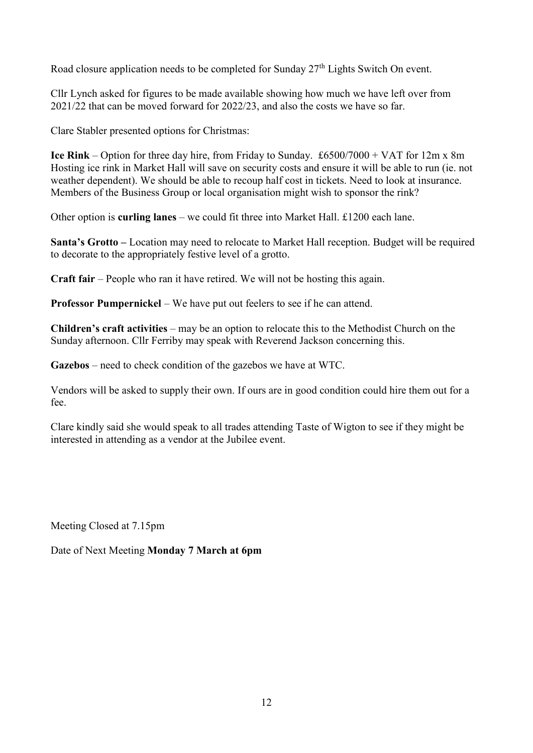Road closure application needs to be completed for Sunday 27<sup>th</sup> Lights Switch On event.

Cllr Lynch asked for figures to be made available showing how much we have left over from 2021/22 that can be moved forward for 2022/23, and also the costs we have so far.

Clare Stabler presented options for Christmas:

**Ice Rink** – Option for three day hire, from Friday to Sunday. £6500/7000 + VAT for 12m x 8m Hosting ice rink in Market Hall will save on security costs and ensure it will be able to run (ie. not weather dependent). We should be able to recoup half cost in tickets. Need to look at insurance. Members of the Business Group or local organisation might wish to sponsor the rink?

Other option is **curling lanes** – we could fit three into Market Hall. £1200 each lane.

**Santa's Grotto –** Location may need to relocate to Market Hall reception. Budget will be required to decorate to the appropriately festive level of a grotto.

**Craft fair** – People who ran it have retired. We will not be hosting this again.

**Professor Pumpernickel** – We have put out feelers to see if he can attend.

**Children's craft activities** – may be an option to relocate this to the Methodist Church on the Sunday afternoon. Cllr Ferriby may speak with Reverend Jackson concerning this.

**Gazebos** – need to check condition of the gazebos we have at WTC.

Vendors will be asked to supply their own. If ours are in good condition could hire them out for a fee.

Clare kindly said she would speak to all trades attending Taste of Wigton to see if they might be interested in attending as a vendor at the Jubilee event.

Meeting Closed at 7.15pm

Date of Next Meeting **Monday 7 March at 6pm**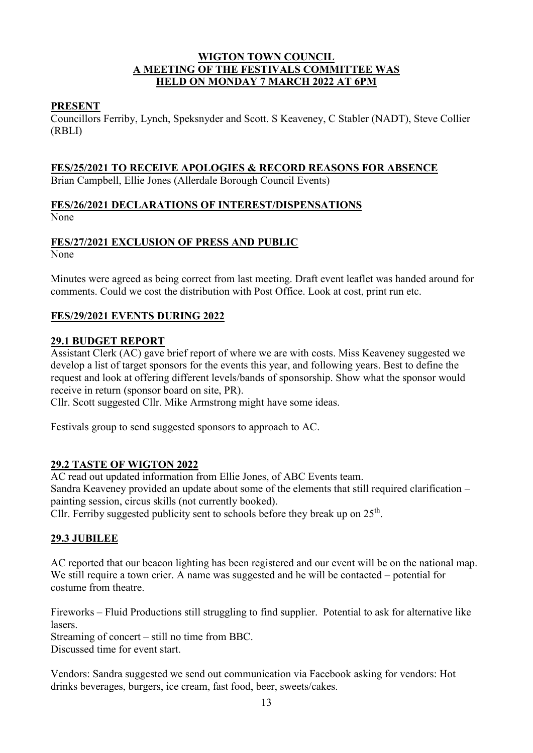## **WIGTON TOWN COUNCIL A MEETING OF THE FESTIVALS COMMITTEE WAS HELD ON MONDAY 7 MARCH 2022 AT 6PM**

#### **PRESENT**

Councillors Ferriby, Lynch, Speksnyder and Scott. S Keaveney, C Stabler (NADT), Steve Collier (RBLI)

# **FES/25/2021 TO RECEIVE APOLOGIES & RECORD REASONS FOR ABSENCE**

Brian Campbell, Ellie Jones (Allerdale Borough Council Events)

## **FES/26/2021 DECLARATIONS OF INTEREST/DISPENSATIONS** None

## **FES/27/2021 EXCLUSION OF PRESS AND PUBLIC**

None

Minutes were agreed as being correct from last meeting. Draft event leaflet was handed around for comments. Could we cost the distribution with Post Office. Look at cost, print run etc.

## **FES/29/2021 EVENTS DURING 2022**

## **29.1 BUDGET REPORT**

Assistant Clerk (AC) gave brief report of where we are with costs. Miss Keaveney suggested we develop a list of target sponsors for the events this year, and following years. Best to define the request and look at offering different levels/bands of sponsorship. Show what the sponsor would receive in return (sponsor board on site, PR).

Cllr. Scott suggested Cllr. Mike Armstrong might have some ideas.

Festivals group to send suggested sponsors to approach to AC.

#### **29.2 TASTE OF WIGTON 2022**

AC read out updated information from Ellie Jones, of ABC Events team. Sandra Keaveney provided an update about some of the elements that still required clarification – painting session, circus skills (not currently booked).

Cllr. Ferriby suggested publicity sent to schools before they break up on  $25<sup>th</sup>$ .

# **29.3 JUBILEE**

AC reported that our beacon lighting has been registered and our event will be on the national map. We still require a town crier. A name was suggested and he will be contacted – potential for costume from theatre.

Fireworks – Fluid Productions still struggling to find supplier. Potential to ask for alternative like lasers.

Streaming of concert – still no time from BBC.

Discussed time for event start.

Vendors: Sandra suggested we send out communication via Facebook asking for vendors: Hot drinks beverages, burgers, ice cream, fast food, beer, sweets/cakes.